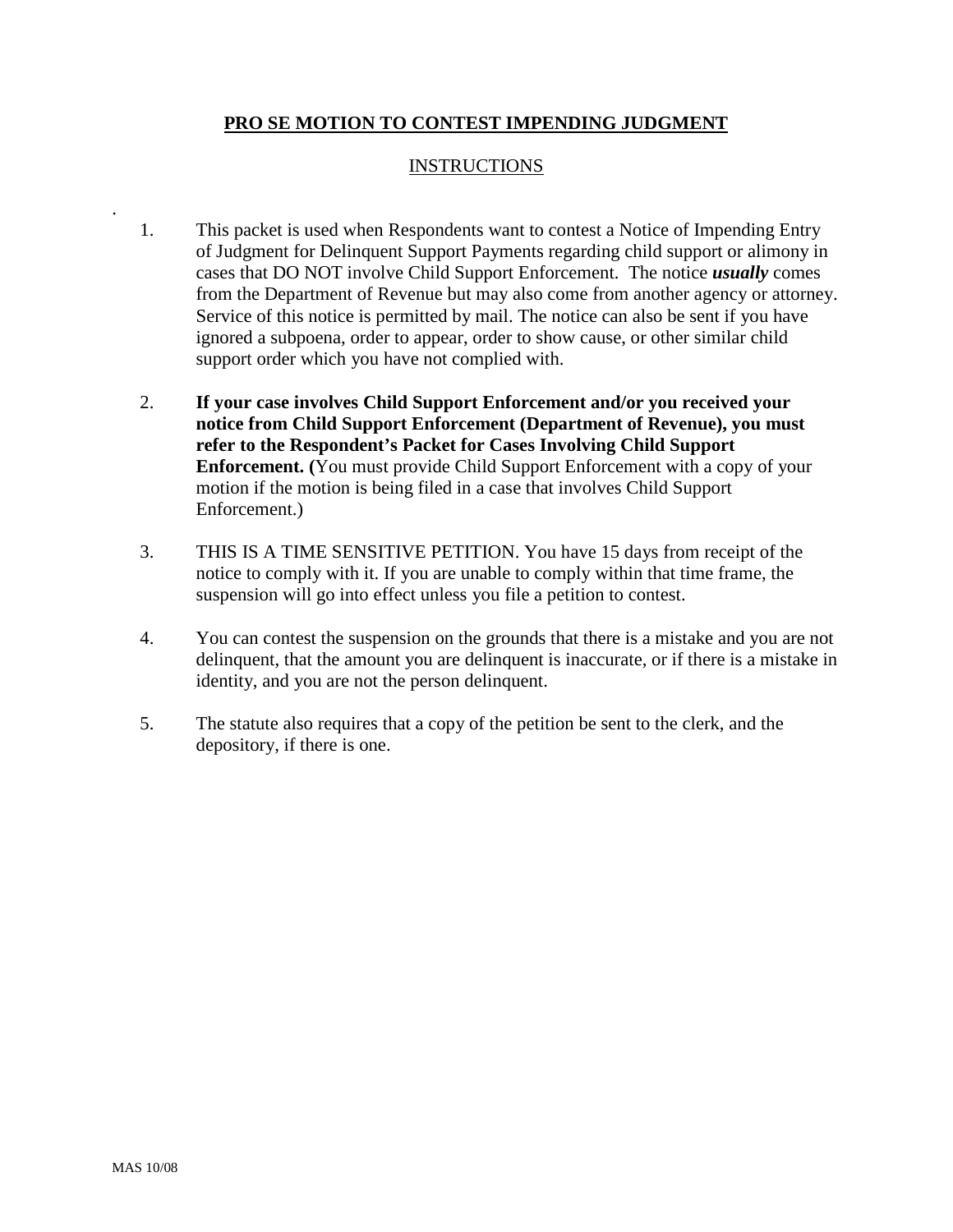## **PRO SE MOTION TO CONTEST IMPENDING JUDGMENT**

## INSTRUCTIONS

- 1. This packet is used when Respondents want to contest a Notice of Impending Entry of Judgment for Delinquent Support Payments regarding child support or alimony in cases that DO NOT involve Child Support Enforcement. The notice *usually* comes from the Department of Revenue but may also come from another agency or attorney. Service of this notice is permitted by mail. The notice can also be sent if you have ignored a subpoena, order to appear, order to show cause, or other similar child support order which you have not complied with.
- 2. **If your case involves Child Support Enforcement and/or you received your notice from Child Support Enforcement (Department of Revenue), you must refer to the Respondent's Packet for Cases Involving Child Support Enforcement. (**You must provide Child Support Enforcement with a copy of your motion if the motion is being filed in a case that involves Child Support Enforcement.)
- 3. THIS IS A TIME SENSITIVE PETITION. You have 15 days from receipt of the notice to comply with it. If you are unable to comply within that time frame, the suspension will go into effect unless you file a petition to contest.
- 4. You can contest the suspension on the grounds that there is a mistake and you are not delinquent, that the amount you are delinquent is inaccurate, or if there is a mistake in identity, and you are not the person delinquent.
- 5. The statute also requires that a copy of the petition be sent to the clerk, and the depository, if there is one.

.